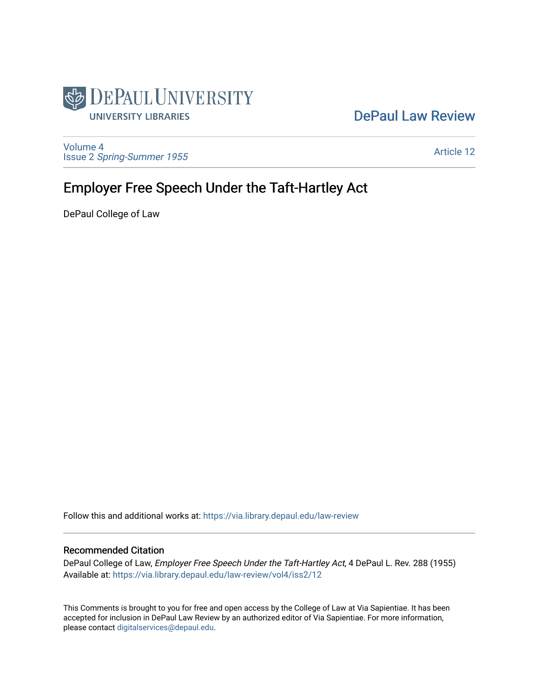

## [DePaul Law Review](https://via.library.depaul.edu/law-review)

[Volume 4](https://via.library.depaul.edu/law-review/vol4) Issue 2 [Spring-Summer 1955](https://via.library.depaul.edu/law-review/vol4/iss2) 

[Article 12](https://via.library.depaul.edu/law-review/vol4/iss2/12) 

# Employer Free Speech Under the Taft-Hartley Act

DePaul College of Law

Follow this and additional works at: [https://via.library.depaul.edu/law-review](https://via.library.depaul.edu/law-review?utm_source=via.library.depaul.edu%2Flaw-review%2Fvol4%2Fiss2%2F12&utm_medium=PDF&utm_campaign=PDFCoverPages) 

### Recommended Citation

DePaul College of Law, Employer Free Speech Under the Taft-Hartley Act, 4 DePaul L. Rev. 288 (1955) Available at: [https://via.library.depaul.edu/law-review/vol4/iss2/12](https://via.library.depaul.edu/law-review/vol4/iss2/12?utm_source=via.library.depaul.edu%2Flaw-review%2Fvol4%2Fiss2%2F12&utm_medium=PDF&utm_campaign=PDFCoverPages) 

This Comments is brought to you for free and open access by the College of Law at Via Sapientiae. It has been accepted for inclusion in DePaul Law Review by an authorized editor of Via Sapientiae. For more information, please contact [digitalservices@depaul.edu.](mailto:digitalservices@depaul.edu)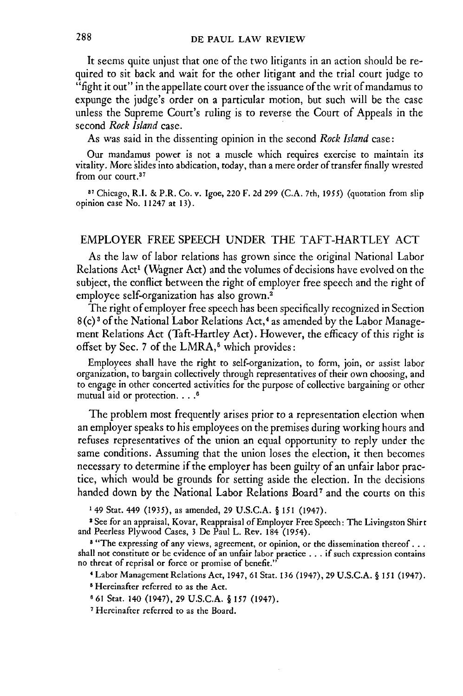It seems quite unjust that one of the two litigants in an action should be required to sit back and wait for the other litigant and the trial court judge to "fight it out" in the appellate court over the issuance of the writ of mandamus to expunge the judge's order on a particular motion, but such will be the case unless the Supreme Court's ruling is to reverse the Court of Appeals in the second *Rock Island* case.

As was said in the dissenting opinion in the second *Rock Island* case:

Our mandamus power is not a muscle which requires exercise to maintain its vitality. More slides into abdication, today, than a mere order of transfer finally wrested from our court.<sup>37</sup>

<sup>87</sup> Chicago, R.I. & P.R. Co. v. Igoe, 220 F. 2d 299 (C.A. 7th, 1955) (quotation from slip opinion case No. 11247 at 13).

#### EMPLOYER FREE SPEECH UNDER THE TAFT-HARTLEY ACT

As the law of labor relations has grown since the original National Labor Relations Act' (Wagner Act) and the volumes of decisions have evolved on the subject, the conflict between the right of employer free speech and the right of employee self-organization has also grown.<sup>2</sup>

The right of employer free speech has been specifically recognized in Section **8** (c) 3 of the National Labor Relations Act,4 as amended by the Labor Management Relations Act (Taft-Hartley Act). However, the efficacy of this right is offset by Sec. 7 of the LMRA, $5$  which provides:

Employees shall have the right to self-organization, to form, join, or assist labor organization, to bargain collectively through representatives of their own choosing, and to engage in other concerted activities for the purpose of collective bargaining or other mutual aid or protection. **.... 6**

The problem most frequently arises prior to a representation election when an employer speaks to his employees on the premises during working hours and refuses representatives of the union an equal opportunity to reply under the same conditions. Assuming that the union loses the election, it then becomes necessary to determine if the employer has been guilty of an unfair labor practice, which would be grounds for setting aside the election. In the decisions handed down by the National Labor Relations Board<sup>7</sup> and the courts on this

**149** Stat. 449 (1935), as amended, **29** U.S.C.A. § 151 (1947).

2 See for an appraisal, Kovar, Reappraisal of Employer Free Speech: The Livingston Shirt and Peerless Plywood Cases, 3 **De** Paul L. Rev. 184 (1954).

<sup>8</sup> "The expressing of any views, agreement, or opinion, or the dissemination thereof . . . shall not constitute or be evidence of an unfair labor practice . . . if such expression contains

no threat of reprisal or force or promise of benefit." 4 Labor Management Relations Act, 1947, 61 Stat. 136 (1947), 29 U.S.C.A. § **151** (1947). **1** Hereinafter referred to as the Act.

**6 61** Stat. 140 (1947), **29 U.S.C.A.** § 157 (1947).

**1** Hereinafter referred to as the Board.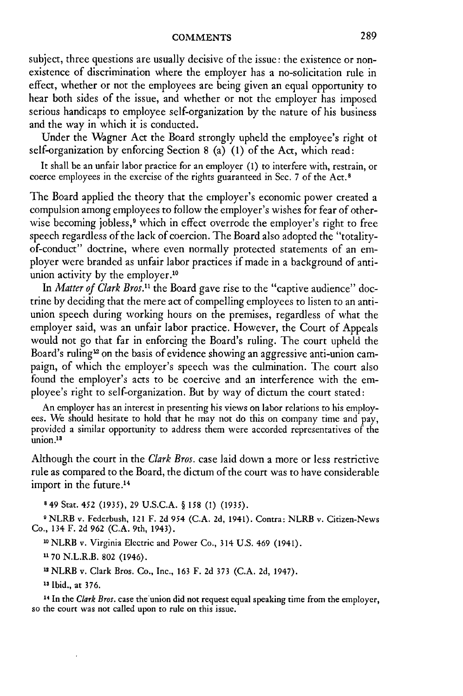subject, three questions are usually decisive of the issue: the existence or nonexistence of discrimination where the employer has a no-solicitation rule in effect, whether or not the employees are being given an equal opportunity to hear both sides of the issue, and whether or not the employer has imposed serious handicaps to employee self-organization by the nature of his business and the way in which it is conducted.

Under the Wagner Act the Board strongly upheld the employee's right ot self-organization by enforcing Section 8 (a) (1) of the Act, which read:

It shall be an unfair labor practice for an employer (1) to interfere with, restrain, or coerce employees in the exercise of the rights guaranteed in Sec. 7 of the Act. <sup>8</sup>

The Board applied the theory that the employer's economic power created a compulsion among employees to follow the employer's wishes for fear of otherwise becoming jobless,<sup>9</sup> which in effect overrode the employer's right to free speech regardless of the lack of coercion. The Board also adopted the "totalityof-conduct" doctrine, where even normally protected statements of an employer were branded as unfair labor practices if made in a background of antiunion activity by the employer.<sup>10</sup>

In *Matter of Clark Bros."* the Board gave rise to the "captive audience" doctrine by deciding that the mere act of compelling employees to listen to an antiunion speech during working hours on the premises, regardless of what the employer said, was an unfair labor practice. However, the Court of Appeals would not go that far in enforcing the Board's ruling. The court upheld the Board's ruling<sup>12</sup> on the basis of evidence showing an aggressive anti-union campaign, of which the employer's speech was the culmination. The court also found the employer's acts to be coercive and an interference with the employee's right to self-organization. But by way of dictum the court stated:

An employer has an interest in presenting his views on labor relations to his employees. We should hesitate to hold that he may not do this on company time and pay, provided a similar opportunity to address them were accorded representatives of the  $union.<sup>13</sup>$ 

Although the court in the *Clark Bros.* case laid down a more or less restrictive rule as compared to the Board, the dictum of the court was to have considerable import in the future.<sup>14</sup>

849 Stat. 452 (1935), 29 U.S.C.A. § *158* **(1)** (1935).

**1** NLRB v. Federbush, 121 F. 2d 954 (C.A. 2d, 1941). Contra: NLRB v. Citizen-News Co., 134 F. 2d 962 (C.A. 9th, 1943).

**10** NLRB v. Virginia Electric and Power Co., 314 U.S. 469 (1941).

**1170** N.L.R.B. 802 (1946).

12 NLRB v. Clark Bros. Co., Inc., 163 F. 2d 373 (C.A. 2d, 1947).

**13** Ibid., at 376.

**14** In the *Clark Bros.* case the'union did not request equal speaking time from the employer, so the court was not called upon to rule on this issue.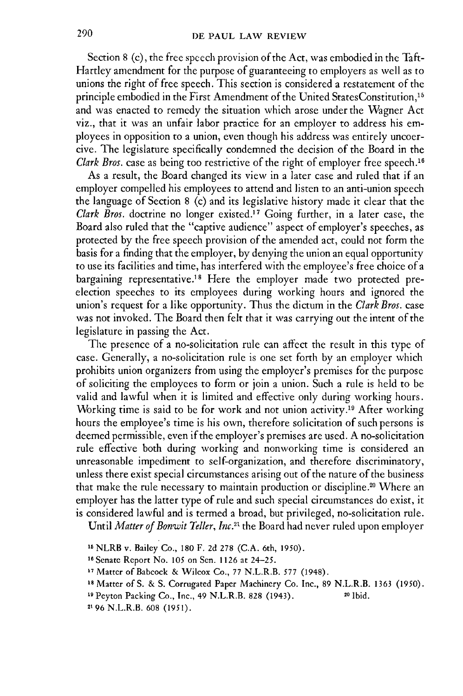Section 8 (c), the free speech provision of the Act, was embodied in the Taft-Hartley amendment for the purpose of guaranteeing to employers as well as to unions the right of free speech. This section is considered a restatement of the principle embodied in the First Amendment of the United StatesConstitution,<sup>15</sup> and was enacted to remedy the situation which arose under the Wagner Act viz., that it was an unfair labor practice for an employer to address his employees in opposition to a union, even though his address was entirely uncoer**cive.** The legislature specifically condemned the decision of the Board in the *Clark Bros.* case as being too restrictive of the right of employer free speech.<sup>16</sup>

As a result, the Board changed its view in a later case and ruled that if an employer compelled his employees to attend and listen to an anti-union speech the language of Section **8** (c) and its legislative history made it clear that the *Clark Bros.* doctrine no longer existed."7 Going further, in a later case, the Board also ruled that the "captive audience" aspect of employer's speeches, as protected by the free speech provision of the amended act, could not form the basis for a finding that the employer, by denying the union an equal opportunity to use its facilities and time, has interfered with the employee's free choice of a bargaining representative.18 Here the employer made two protected preelection speeches to its employees during working hours and ignored the union's request for a like opportunity. Thus the dictum in the *Clark Bros.* case was not invoked. The Board then felt that it was carrying out the intent of the legislature in passing the Act.

The presence of a no-solicitation rule can affect the result in this type of case. Generally, a no-solicitation rule is one set forth by an employer which prohibits union organizers from using the employer's premises for the purpose of soliciting the employees to form or join a union. Such a rule is held to be valid and lawful when it is limited and effective only during working hours. Working time is said to be for work and not union activity.<sup>19</sup> After working hours the employee's time is his own, therefore solicitation of such persons is deemed permissible, even if the employer's premises are used. A no-solicitation rule effective both during working and nonworking time is considered an unreasonable impediment to self-organization, and therefore discriminatory, unless there exist special circumstances arising out of the nature of the business that make the rule necessary to maintain production or discipline." Where an employer has the latter type of rule and such special circumstances do exist, it is considered lawful and is termed a broad, but privileged, no-solicitation rule.

Until *Matter of Bonwit Teller, Inc."* the Board had never ruled upon employer

**<sup>11</sup>** NLRB v. Bailey Co., **180** F. **2d 278 (C.A.** 6th, 1950).

<sup>&</sup>quot;Senate Report No. **105** on Sen. **1126** at 24-25.

**<sup>17</sup>**Matter of Babcock **&** Wilcox Co., **77** N.L.R.B. **577** (1948).

**<sup>18</sup>**Matter of **S. & S.** Corrugated Paper Machinery Co. Inc., **89** N.L.R.B. **1363** (1950).

**<sup>19</sup>** Peyton Packing Co., Inc., 49 N.L.R.B. **828** (1943). **20** Ibid.

**<sup>2196</sup>** N.L.R.B. **608** (1951).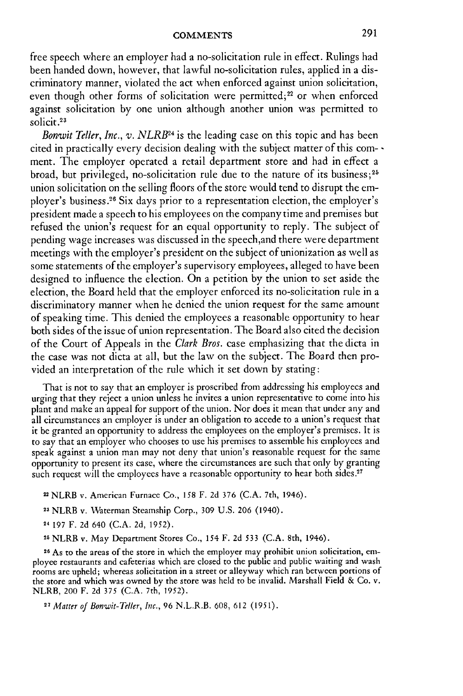free speech where an employer had a no-solicitation rule in effect. Rulings had been handed down, however, that lawful no-solicitation rules, applied in a discriminatory manner, violated the act when enforced against union solicitation, even though other forms of solicitation were permitted;<sup>22</sup> or when enforced against solicitation by one union although another union was permitted to solicit.<sup>23</sup>

*Bonwit Teller, Inc., v. NLRB*<sup>24</sup> is the leading case on this topic and has been cited in practically every decision dealing with the subject matter of this com- ment. The employer operated a retail department store and had in effect a broad, but privileged, no-solicitation rule due to the nature of its business;<sup>25</sup> union solicitation on the selling floors of the store would tend to disrupt the employer's business.<sup>26</sup> Six days prior to a representation election, the employer's president made a speech to his employees on the company time and premises but refused the union's request for an equal opportunity to reply. The subject of pending wage increases was discussed in the speech,and there were department meetings with the employer's president on the subject of unionization as well as some statements of the employer's supervisory employees, alleged to have been designed to influence the election. On a petition by the union to set aside the election, the Board held that the employer enforced its no-solicitation rule in a discriminatory manner when he denied the union request for the same amount of speaking time. This denied the employees a reasonable opportunity to hear both sides of the issue of union representation. The Board also cited the decision of the Court of Appeals in the *Clark Bros.* case emphasizing that the dicta in the case was not dicta at all, but the law on the subject. The Board then provided an interpretation of the rule which it set down by stating:

That is not to say that an employer is proscribed from addressing his employees and urging that they reject a union unless he invites a union representative to come into his plant and make an appeal for support of the union. Nor does it mean that under any and all circumstances an employer is under an obligation to accede to a union's request that it be granted an opportunity to address the employees on the employer's premises. It is to say that an employer who chooses to use his premises to assemble his employees and speak against a union man may not deny that union's reasonable request for the same opportunity to present its case, where the circumstances are such that only by granting such request will the employees have a reasonable opportunity to hear both sides.<sup>2</sup>

- 22 NLRB v. American Furnace Co., **158** F. 2d 376 (C.A. 7th, 1946).
- **23** NLRB v. Waterman Steamship Corp., **309 U.S. 206** (1940).
- **24 197** F. **2d** 640 (C.A. 2d, 1952).
- **<sup>25</sup>**NLRB v. May Department Stores Co., 154 F. **2d** 533 **(C.A.** 8th, 1946).

26 As to the areas of the store in which the employer may prohibit union solicitation, employee restaurants and cafeterias which are closed to the public and public waiting and wash rooms are upheld; whereas solicitation in a street or alleyway which ran between portions of the store and which was owned by the store was held to be invalid. Marshall Field & Co. v. NLRB, 200 F. 2d 375 (C.A. 7th, 1952).

*27 Matter of* Bonwit-Teller, *hic.,* 96 N.L.R.B. 608, 612 (1951).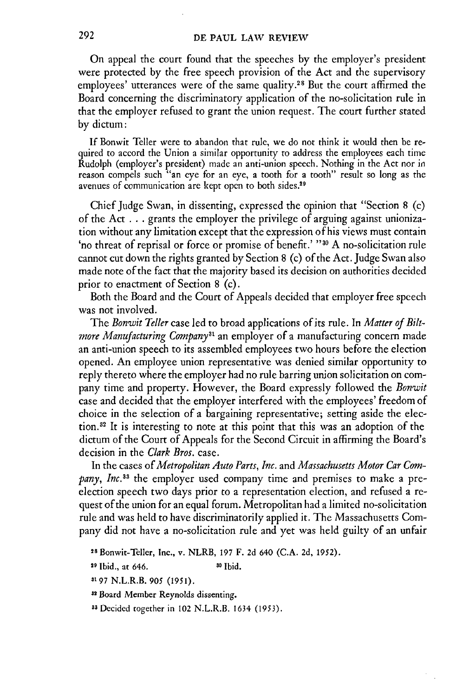On appeal the court found that the speeches by **the** employer's president were protected by the free speech provision of the Act and the supervisory employees' utterances were of the same quality.<sup>28</sup> But the court affirmed the Board concerning the discriminatory application of the no-solicitation rule in that the employer refused to grant the union request. The court further stated by dictum:

If Bonwit Teller were to abandon that rule, we do not think it would then be required to accord the Union a similar opportunity to address the employees each time Rudolph (employer's president) made an anti-union speech. Nothing in the Act nor in reason compels such "an eye for an eye, a tooth for a tooth" result so long as the avenues of communication are kept open to both sides.<sup>2</sup>

Chief Judge Swan, in dissenting, expressed the opinion that "Section 8 (c) of the Act  $\dots$  grants the employer the privilege of arguing against unionization without any limitation except that the expression of his views must contain 'no threat of reprisal or force or promise of benefit.' **"30** A no-solicitation rule cannot cut down the rights granted by Section 8 (c) of the Act. Judge Swan also made note of the fact that the majority based its decision on authorities decided prior to enactment of Section 8 (c).

Both the Board and the Court of Appeals decided that employer free speech was not involved.

The *Bonwit Teller* case led to broad applications of its rule. In *Matter of Billmore Manufacturing Company"'* an employer of a manufacturing concern made an anti-union speech to its assembled employees two hours before the election opened. An employee union representative was denied similar opportunity to reply thereto where the employer had no rule barring union solicitation on company time and property. However, the Board expressly followed the *Bonwit* case and decided that the employer interfered with the employees' freedom of choice in the selection of a bargaining representative; setting aside the election.<sup>32</sup> It is interesting to note at this point that this was an adoption of the dictum of the Court of Appeals for the Second Circuit in affirming the Board's decision in the *Clark Bros.* case.

In the cases of *Metropolitan Auto Parts, Inc.* and *Massachusetts Motor Car Company, Inc. <sup>3</sup>*the employer used company time and premises to make a preelection speech two days prior to a representation election, and refused a request of the union for an equal forum. Metropolitan had a limited no-solicitation rule and was held to have discriminatorily applied it. The Massachusetts Company did not have a no-solicitation rule and yet was held guilty of an unfair

29 Ibid., at 646. **81** Ibid.

- **3197** N.L.R.B. **905 (1951).**
- **32** Board Member Reynolds dissenting.
- <sup>33</sup> Decided together in 102 N.L.R.B. 1634 (1953).

**<sup>28</sup>**Bonwit-Teller, **Inc.,** v. NLRB, **197** F. **2d 640 (C.A. 2d, 1952).**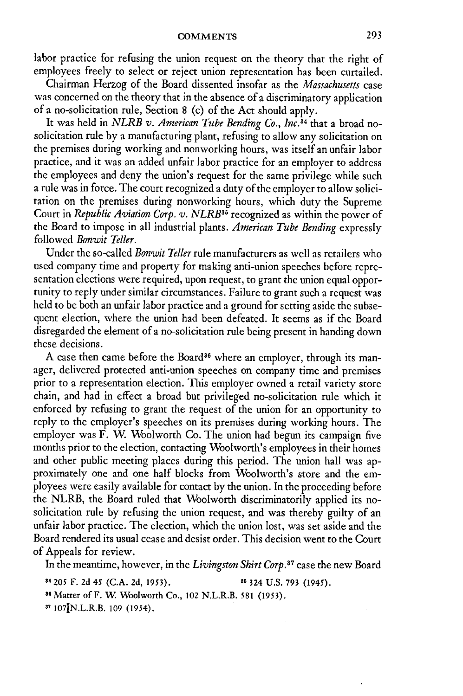labor practice for refusing the union request on the theory that the right of employees freely to select or reject union representation has been curtailed.

Chairman Herzog of the Board dissented insofar as the *Massachusetts* case was concerned on the theory that in the absence of a discriminatory application of a no-solicitation rule, Section 8 (c) of the Act should apply.

It was held in *NLRB v. American Tube Bending Co., Inc.14* that a broad nosolicitation rule by a manufacturing plant, refusing to allow any solicitation on the premises during working and nonworking hours, was itself an unfair labor practice, and it was an added unfair labor practice for an employer to address the employees and deny the union's request for the same privilege while such a rule was in force. The court recognized a duty of the employer to allow solicitation on the premises during nonworking hours, which duty the Supreme Court in *Republic Aviation Corp. v. NLRB*<sup>35</sup> recognized as within the power of the Board to impose in all industrial plants. *American Tube Bending* expressly followed *Bonwit Teller.*

Under the so-called *Bonwit Teller* rule manufacturers as well as retailers who used company time and property for making anti-union speeches before representation elections were required, upon request, to grant the union equal opportunity to reply under similar circumstances. Failure to grant such a request was held to be both an unfair labor practice and a ground for setting aside the subsequent election, where the union had been defeated. It seems as if the Board disregarded the element of a no-solicitation rule being present in handing down these decisions.

A case then came before the Board<sup>36</sup> where an employer, through its manager, delivered protected anti-union speeches on company time and premises prior to a representation election. This employer owned a retail variety store chain, and had in effect a broad but privileged no-solicitation rule which it enforced by refusing to grant the request of the union for an opportunity to reply to the employer's speeches on its premises during working hours. The employer was F. W. Woolworth Co. The union had begun its campaign five months prior to the election, contacting Woolworth's employees in their homes and other public meeting places during this period. The union hall was approximately one and one half blocks from Woolworth's store and the employees were easily available for contact by the union. In the proceeding before the NLRB, the Board ruled that Woolworth discriminatorily applied its nosolicitation rule by refusing the union request, and was thereby guilty of an unfair labor practice. The election, which the union lost, was set aside and the Board rendered its usual cease and desist order. This decision went to the Court of Appeals for review.

In the meantime, however, in the *Livingston Shirt Corp*.<sup>37</sup> case the new Board

<sup>84</sup>**205 F. 2d** *45* **(C.A. 2d,** 1953). **36 324** U.S. 793 (1945).

3 Matter ofF. W Woolworth Co., 102 N.L.R.B. **581 (1953).**

**31** 107JN.L.R.B. 109 (1954).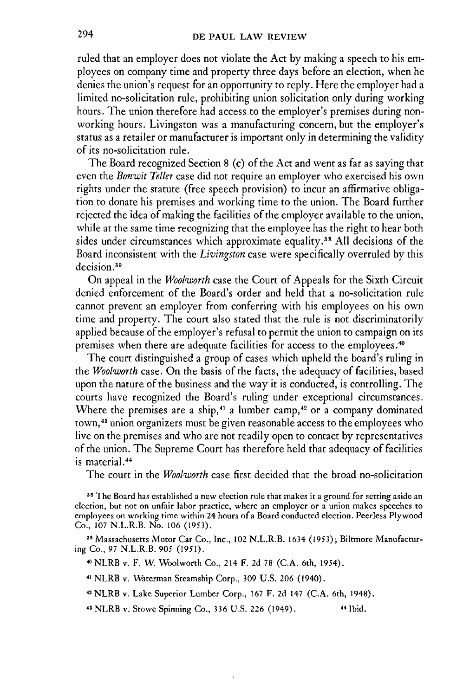#### **DE PAUL LAW REVIEW**

ruled that an employer does not violate the Act by making a speech to his employees on company time and property three days before an election, when he denies the union's request for an opportunity to reply. Here the employer had a limited no-solicitation rule, prohibiting union solicitation only during working hours. The union therefore had access to the employer's premises during nonworking hours. Livingston was a manufacturing concern, but the employer's status as a retailer or manufacturer is important only in determining the validity of its no-solicitation rule.

The Board recognized Section 8 (c) of the Act and went as far as saying that even the *Bonwit Teller* case did not require an employer who exercised his own rights under the statute (free speech provision) to incur an affirmative obligation to donate his premises and working time to the union. The Board further rejected the idea of making the facilities of the employer available to the union, while at the same time recognizing that the employee has the right to hear both sides under circumstances which approximate equality.38 All decisions of the Board inconsistent with the *Livingston* case were specifically overruled by this decision.<sup>39</sup>

On appeal in the *Woolworth* case the Court of Appeals for the Sixth Circuit denied enforcement of the Board's order and held that a no-solicitation rule cannot prevent an employer from conferring with his employees on his own time and property. The court also stated that the rule is not discriminatorily applied because of the employer's refusal to permit the union to campaign on its premises when there are adequate facilities for access to the employees. <sup>40</sup>

The court distinguished a group of cases which upheld the board's ruling in the *Woolworth* case. On the basis of the facts, the adequacy of facilities, based upon the nature of the business and the way it is conducted, is controlling. The courts have recognized the Board's ruling under exceptional circumstances. Where the premises are a ship,<sup>41</sup> a lumber camp,<sup>42</sup> or a company dominated town, 43 union organizers must be given reasonable access to the employees who live on the premises and who are not readily open to contact by representatives of the union. The Supreme Court has therefore held that adequacy of facilities is material. <sup>44</sup>

The court in the *Woolworth* case first decided that the broad no-solicitation

**<sup>38</sup>**The Board has established a new election rule that makes it a ground for setting aside an election, but not on unfair labor practice, where an employer or a union makes speeches to employees on working time within 24 hours of a Board conducted election. Peerless Plywood Co., 107 N.L.R.B. No. **106** (1953).

<sup>39</sup> Massachusetts Motor Car Co., Inc., 102 N.L.R.B. 1634 (1953); Biltmore Manufacturing Co., 97 N.L.R.B. 905 (1951).

**40** NLRB v. F. W Woolworth Co., 214 F. 2d 78 (C.A. 6th, 1954).

**41** NLRB v. Waterman Steamship Corp., 309 U.S. 206 (1940).

**42** NLRB v. Lake Superior Lumber Corp., 167 F. 2d 147 (C.A. 6th, 1948).

**13** NLRB v. Stowe Spinning Co., 336 U.S. 226 (1949). 41 Ibid.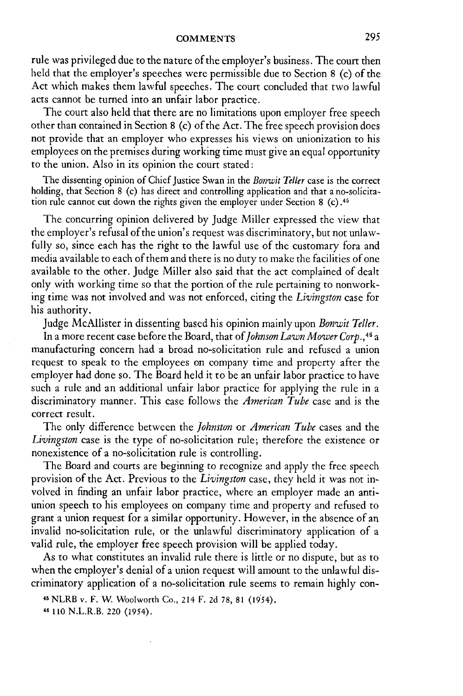rule was privileged due to the nature of the employer's business. The court then held that the employer's speeches were permissible due to Section 8 (c) of the Act which makes them lawful speeches. The court concluded that two lawful acts cannot be turned into an unfair labor practice.

The court also held that there are no limitations upon employer free speech other than contained in Section 8 (c) of the Act. The free speech provision does not provide that an employer who expresses his views on unionization to his employees on the premises during working time must give an equal opportunity to the union. Also in its opinion the court stated:

The dissenting opinion of Chief Justice Swan in the *Bonwit Teller* case is the correct holding, that Section 8 (c) has direct and controlling application and that a no-solicitation rule cannot cut down the rights given the employer under Section 8 (c) **.4**

The concurring opinion delivered by Judge Miller expressed the view that the employer's refusal of the union's request was discriminatory, but not unlawfully so, since each has the right to the lawful use of the customary fora and media available to each of them and there is no duty to make the facilities of one available to the other. Judge Miller also said that the act complained of dealt only with working time so that the portion of the rule pertaining to nonworking time was not involved and was not enforced, citing the *Livingston* case for his authority.

Judge McAllister in dissenting based his opinion mainly upon *Bonywit Teller.* In a more recent case before the Board, that *of Johnson La'wn Mower Corp.,4 <sup>6</sup>*a manufacturing concern had a broad no-solicitation rule and refused a union request to speak to the employees on company time and property after the employer had done so. The Board held it to be an unfair labor practice to have such a rule and an additional unfair labor practice for applying the rule in a discriminatory manner. This case follows the *American Tube* case and is the correct result.

The only difference between the *Johnston* or *American Tube* cases and the *Livingston* case is the type of no-solicitation rule; therefore the existence or nonexistence of a no-solicitation rule is controlling.

The Board and courts are beginning to recognize and apply the free speech provision of the Act. Previous to the *Livingston* case, they held it was not involved in finding an unfair labor practice, where an employer made an antiunion speech to his employees on company time and property and refused to grant a union request for a similar opportunity. However, in the absence of an invalid no-solicitation rule, or the unlawful discriminatory application of a valid rule, the employer free speech provision will be applied today.

As to what constitutes an invalid rule there is little or no dispute, but as to when the employer's denial of a union request will amount to the unlawful discriminatory application of a no-solicitation rule seems to remain **highly** con-

<sup>45</sup>NLRB v. F. **W.** Woolworth Co., 214 F. **2d 78,** 81 (1954). **46** 110 N.L.R.B. 220 (1954).